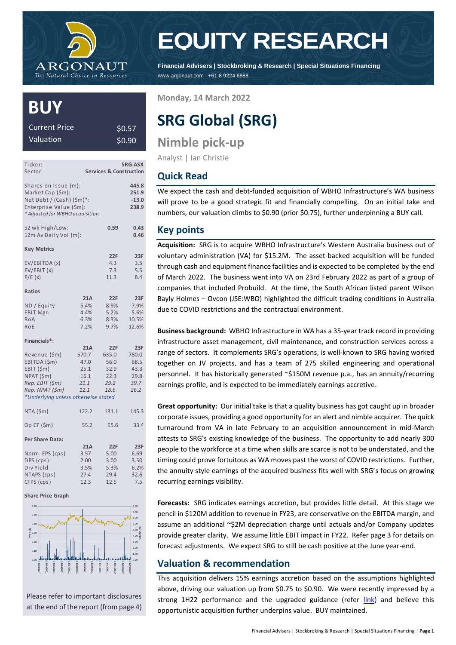

# **EQUITY RESEARCH**

**Financial Advisers | Stockbroking & Research | Special Situations Financing** www.argonaut.com +61 8 9224 6888

# **BUY**

| Current Price | \$0.57 |
|---------------|--------|
| Valuation     | \$0.90 |

| Ticker:<br>Sector:                                                                                                                     |                                                      | <b>Services &amp; Construction</b>                   | SRG.ASX                                              |
|----------------------------------------------------------------------------------------------------------------------------------------|------------------------------------------------------|------------------------------------------------------|------------------------------------------------------|
| Shares on Issue (m):<br>Market Cap (\$m):<br>Net Debt / (Cash) (\$m)*:<br>Enterprise Value (\$m):<br>* Adjusted for WBHO acquisition   |                                                      |                                                      | 445.8<br>251.9<br>$-13.0$<br>238.9                   |
| 52 wk High/Low:<br>12m Av Daily Vol (m):                                                                                               |                                                      | 0.59                                                 | 0.43<br>0.46                                         |
| <b>Key Metrics</b>                                                                                                                     |                                                      |                                                      |                                                      |
| EV/EBITDA (x)<br>EV/EBIT (x)<br>P/E(x)                                                                                                 |                                                      | 22F<br>4.3<br>7.3<br>11.3                            | 23F<br>3.5<br>5.5<br>8.4                             |
| Ratios                                                                                                                                 |                                                      |                                                      |                                                      |
| ND / Equity<br><b>EBIT Mgn</b><br>RoA<br>RoE                                                                                           | 21A<br>$-5.4%$<br>4.4%<br>6.3%<br>7.2%               | 22F<br>$-8.9%$<br>5.2%<br>8.3%<br>9.7%               | 23F<br>$-7.9%$<br>5.6%<br>10.5%<br>12.6%             |
| Financials*:                                                                                                                           |                                                      |                                                      |                                                      |
| Revenue (\$m)<br>EBITDA (\$m)<br>EBIT (\$m)<br>NPAT (\$m)<br>Rep. EBIT (\$m)<br>Rep. NPAT (\$m)<br>*Underlying unless otherwise stated | 21A<br>570.7<br>47.0<br>25.1<br>16.1<br>21.1<br>12.1 | 22F<br>635.0<br>56.0<br>32.9<br>22.3<br>29.2<br>18.6 | 23F<br>780.0<br>68.5<br>43.3<br>29.8<br>39.7<br>26.2 |
| NTA (\$m)                                                                                                                              | 122.2                                                | 131.1                                                | 145.3                                                |
| Op CF (\$m)                                                                                                                            | 55.2                                                 | 55.6                                                 | 33.4                                                 |
| Per Share Data:<br>Norm. EPS (cps)<br>DPS (cps)                                                                                        | 21A<br>3.57<br>2.00                                  | 22F<br>5.00<br>3.00                                  | 23F<br>6.69<br>3.50                                  |
| Div Yield<br>NTAPS (cps)<br>CFPS (cps)                                                                                                 | 3.5%<br>27.4<br>12.3                                 | 5.3%<br>29.4<br>12.5                                 | 6.2%<br>32.6<br>7.5                                  |

**Share Price Graph**



Please refer to important disclosures at the end of the report (from page 4) **Monday, 14 March 2022**

# **SRG Global (SRG)**

**Nimble pick-up**

Analyst | Ian Christie

## **Quick Read**

We expect the cash and debt-funded acquisition of WBHO Infrastructure's WA business will prove to be a good strategic fit and financially compelling. On an initial take and numbers, our valuation climbs to \$0.90 (prior \$0.75), further underpinning a BUY call.

### **Key points**

**Acquisition:** SRG is to acquire WBHO Infrastructure's Western Australia business out of voluntary administration (VA) for \$15.2M. The asset-backed acquisition will be funded through cash and equipment finance facilities and is expected to be completed by the end of March 2022. The business went into VA on 23rd February 2022 as part of a group of companies that included Probuild. At the time, the South African listed parent Wilson Bayly Holmes – Ovcon (JSE:WBO) highlighted the difficult trading conditions in Australia due to COVID restrictions and the contractual environment.

**Business background:** WBHO Infrastructure in WA has a 35-year track record in providing infrastructure asset management, civil maintenance, and construction services across a range of sectors. It complements SRG's operations, is well-known to SRG having worked together on JV projects, and has a team of 275 skilled engineering and operational personnel. It has historically generated ~\$150M revenue p.a., has an annuity/recurring earnings profile, and is expected to be immediately earnings accretive.

**Great opportunity:** Our initial take is that a quality business has got caught up in broader corporate issues, providing a good opportunity for an alert and nimble acquirer. The quick turnaround from VA in late February to an acquisition announcement in mid-March attests to SRG's existing knowledge of the business. The opportunity to add nearly 300 people to the workforce at a time when skills are scarce is not to be understated, and the timing could prove fortuitous as WA moves past the worst of COVID restrictions. Further, the annuity style earnings of the acquired business fits well with SRG's focus on growing recurring earnings visibility.

**Forecasts:** SRG indicates earnings accretion, but provides little detail. At this stage we pencil in \$120M addition to revenue in FY23, are conservative on the EBITDA margin, and assume an additional ~\$2M depreciation charge until actuals and/or Company updates provide greater clarity. We assume little EBIT impact in FY22. Refer page 3 for details on forecast adjustments. We expect SRG to still be cash positive at the June year-end.

### **Valuation & recommendation**

This acquisition delivers 15% earnings accretion based on the assumptions highlighted above, driving our valuation up from \$0.75 to \$0.90. We were recently impressed by a strong 1H22 performance and the upgraded guidance (refer [link\)](https://secure.argonaut.com/FileLink.asp?DT=R&DID=8348&DP=124621) and believe this opportunistic acquisition further underpins value. BUY maintained.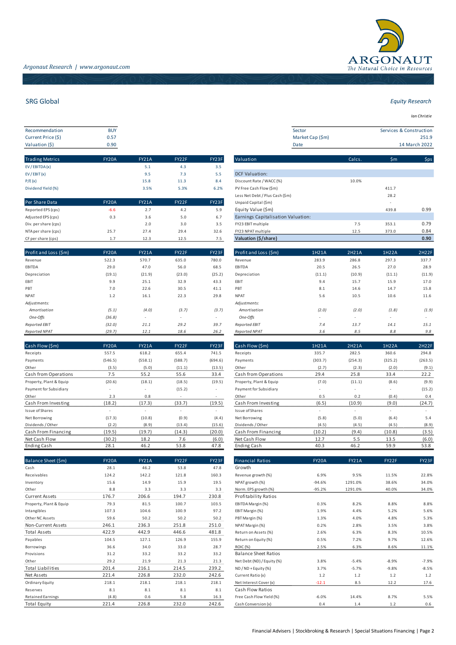

| Recommendation     | <b>BUY</b> |  |
|--------------------|------------|--|
| Current Price (\$) | 0.57       |  |
| Valuation (\$)     | 0.90       |  |

| <b>Trading Metrics</b> | <b>FY20A</b> | <b>FY21A</b> | FY22F | FY23F | Valuation                                                                                                                                                                                                                                                                                                                                                                                                                                                                           | Calcs. | \$m\$ | \$ps |
|------------------------|--------------|--------------|-------|-------|-------------------------------------------------------------------------------------------------------------------------------------------------------------------------------------------------------------------------------------------------------------------------------------------------------------------------------------------------------------------------------------------------------------------------------------------------------------------------------------|--------|-------|------|
| EV / EBITDA (x)        |              | 5.1          | 4.3   | 3.5   |                                                                                                                                                                                                                                                                                                                                                                                                                                                                                     |        |       |      |
| EV/EBIT(x)             |              | 9.5          | 7.3   | 5.5   | <b>DCF Valuation:</b>                                                                                                                                                                                                                                                                                                                                                                                                                                                               |        |       |      |
| P/E(x)                 |              | 15.8         | 11.3  | 8.4   | Discount Rate / WACC (%)                                                                                                                                                                                                                                                                                                                                                                                                                                                            | 10.0%  |       |      |
| Dividend Yield (%)     |              | 3.5%         | 5.3%  | 6.2%  | PV Free Cash Flow (\$m)                                                                                                                                                                                                                                                                                                                                                                                                                                                             |        | 411.7 |      |
|                        |              |              |       |       | Less Net Debt / Plus Cash (\$m)                                                                                                                                                                                                                                                                                                                                                                                                                                                     |        | 28.2  |      |
| Per Share Data         | <b>FY20A</b> | <b>FY21A</b> | FY22F | FY23F | Unpaid Capital (\$m)                                                                                                                                                                                                                                                                                                                                                                                                                                                                |        |       |      |
| Reported EPS (cps)     | $-6.6$       | 2.7          | 4.2   | 5.9   | Equity Value (\$m)                                                                                                                                                                                                                                                                                                                                                                                                                                                                  |        | 439.8 | 0.99 |
| Adjusted EPS (cps)     | 0.3          | 3.6          | 5.0   | 6.7   | Earnings Capitalisation Valuation:                                                                                                                                                                                                                                                                                                                                                                                                                                                  |        |       |      |
| Div. per share (cps)   |              | 2.0          | 3.0   | 3.5   | FY23 EBIT multiple                                                                                                                                                                                                                                                                                                                                                                                                                                                                  | 7.5    | 353.1 | 0.79 |
| NITA marshare (ana)    | 257          | 27A          | 20A   | 22c   | $T(222 \text{ N} \cdot \text{N} \cdot \text{N} \cdot \text{N} \cdot \text{N} \cdot \text{N} \cdot \text{N} \cdot \text{N} \cdot \text{N} \cdot \text{N} \cdot \text{N} \cdot \text{N} \cdot \text{N} \cdot \text{N} \cdot \text{N} \cdot \text{N} \cdot \text{N} \cdot \text{N} \cdot \text{N} \cdot \text{N} \cdot \text{N} \cdot \text{N} \cdot \text{N} \cdot \text{N} \cdot \text{N} \cdot \text{N} \cdot \text{N} \cdot \text{N} \cdot \text{N} \cdot \text{N} \cdot \text{N}$ | 12E    | 2720  | 0.91 |

| Profit and Loss (\$m) | <b>FY20A</b> | <b>FY21A</b>             | FY22F  | FY23F  | Profit and Loss (\$m) | 1H21A  | 2H21A                    | 1H22A  | 2H22F  |
|-----------------------|--------------|--------------------------|--------|--------|-----------------------|--------|--------------------------|--------|--------|
| Revenue               | 522.3        | 570.7                    | 635.0  | 780.0  | Revenue               | 283.9  | 286.8                    | 297.3  | 337.7  |
| EBITDA                | 29.0         | 47.0                     | 56.0   | 68.5   | EBITDA                | 20.5   | 26.5                     | 27.0   | 28.9   |
| Depreciation          | (19.1)       | (21.9)                   | (23.0) | (25.2) | Depreciation          | (11.1) | (10.9)                   | (11.1) | (11.9) |
| EBIT                  | 9.9          | 25.1                     | 32.9   | 43.3   | EBIT                  | 9.4    | 15.7                     | 15.9   | 17.0   |
| PBT                   | 7.0          | 22.6                     | 30.5   | 41.1   | PBT                   | 8.1    | 14.6                     | 14.7   | 15.8   |
| <b>NPAT</b>           | 1.2          | 16.1                     | 22.3   | 29.8   | <b>NPAT</b>           | 5.6    | 10.5                     | 10.6   | 11.6   |
| Adjustments:          |              |                          |        |        | Adjustments:          |        |                          |        |        |
| Amortisation          | (5.1)        | (4.0)                    | (3.7)  | (3.7)  | Amortisation          | (2.0)  | (2.0)                    | (1.8)  | (1.9)  |
| One-Offs              | (36.8)       | $\overline{\phantom{a}}$ |        | $\sim$ | One-Offs              | $\sim$ | $\overline{\phantom{a}}$ | $\sim$ | $\sim$ |
| <b>Reported EBIT</b>  | (32.0)       | 21.1                     | 29.2   | 39.7   | Reported EBIT         | 7.4    | 13.7                     | 14.1   | 15.1   |
| <b>Reported NPAT</b>  | (29.7)       | 12.1                     | 18.6   | 26.2   | <b>Reported NPAT</b>  | 3.6    | 8.5                      | 8.8    | 9.8    |

| Cash Flow (\$m)         | <b>FY20A</b> | FY21A                    | FY22F       | FY23F   | Cash Flow (\$m)         | 1H21A   | 2H21A                    | 1H22A   | 2H22F   |
|-------------------------|--------------|--------------------------|-------------|---------|-------------------------|---------|--------------------------|---------|---------|
| Receipts                | 557.5        | 618.2                    | 655.4       | 741.5   | Receipts                | 335.7   | 282.5                    | 360.6   | 294.8   |
| Payments                | (546.5)      | (558.1)                  | (588.7)     | (694.6) | Payments                | (303.7) | (254.3)                  | (325.2) | (263.5) |
| Other                   | (3.5)        | (5.0)                    | (11.1)      | (13.5)  | Other                   | (2.7)   | (2.3)                    | (2.0)   | (9.1)   |
| Cash from Operations    | 7.5          | 55.2                     | 55.6        | 33.4    | Cash from Operations    | 29.4    | 25.8                     | 33.4    | 22.2    |
| Property, Plant & Equip | (20.6)       | (18.1)                   | (18.5)      | (19.5)  | Property, Plant & Equip | (7.0)   | (11.1)                   | (8.6)   | (9.9)   |
| Payment for Subsidiary  |              |                          | (15.2)      |         | Payment for Subsidiary  | $\sim$  |                          |         | (15.2)  |
| Other                   | 2.3          | 0.8                      | <b>1999</b> |         | Other                   | 0.5     | 0.2                      | (0.4)   | 0.4     |
| Cash From Investing     | (18.2)       | (17.3)                   | (33.7)      | (19.5)  | Cash From Investing     | (6.5)   | (10.9)                   | (9.0)   | (24.7)  |
| Issue of Shares         | $\sim$       | $\overline{\phantom{a}}$ | ٠           | $\sim$  | Issue of Shares         | ٠.      | $\overline{\phantom{a}}$ | $\sim$  | $\sim$  |
| Net Borrowing           | (17.3)       | (10.8)                   | (0.9)       | (4.4)   | Net Borrowing           | (5.8)   | (5.0)                    | (6.4)   | 5.4     |
| Dividends / Other       | (2.2)        | (8.9)                    | (13.4)      | (15.6)  | Dividends / Other       | (4.5)   | (4.5)                    | (4.5)   | (8.9)   |
| Cash From Financing     | (19.5)       | (19.7)                   | (14.3)      | (20.0)  | Cash From Financing     | (10.2)  | (9.4)                    | (10.8)  | (3.5)   |
| Net Cash Flow           | (30.2)       | 18.2                     | 7.6         | (6.0)   | Net Cash Flow           | 12.7    | 5.5                      | 13.5    | (6.0)   |
| Ending Cash             | 28.1         | 46.2                     | 53.8        | 47.8    | Ending Cash             | 40.3    | 46.2                     | 59.9    | 53.8    |
|                         |              |                          |             |         |                         |         |                          |         |         |

| Balance Sheet (\$m)      | <b>FY20A</b> | <b>FY21A</b> | FY22F | FY23F | <b>Financial Ratios</b>     | FY20A    | FY21A   | FY22F   | FY23F   |
|--------------------------|--------------|--------------|-------|-------|-----------------------------|----------|---------|---------|---------|
| Cash                     | 28.1         | 46.2         | 53.8  | 47.8  | Growth                      |          |         |         |         |
| Receivables              | 124.2        | 142.2        | 121.8 | 160.3 | Revenue growth (%)          | 6.9%     | 9.5%    | 11.5%   | 22.8%   |
| Inventory                | 15.6         | 14.9         | 15.9  | 19.5  | NPAT growth (%)             | $-94.6%$ | 1291.0% | 38.6%   | 34.0%   |
| Other                    | 8.8          | 3.3          | 3.3   | 3.3   | Norm. EPS growth (%)        | $-95.2%$ | 1291.0% | 40.0%   | 34.0%   |
| <b>Current Assets</b>    | 176.7        | 206.6        | 194.7 | 230.8 | Profitability Ratios        |          |         |         |         |
| Property, Plant & Equip  | 79.3         | 81.5         | 100.7 | 103.5 | EBITDA Margin (%)           | 0.3%     | 8.2%    | 8.8%    | 8.8%    |
| Intangibles              | 107.3        | 104.6        | 100.9 | 97.2  | EBIT Margin (%)             | 1.9%     | 4.4%    | 5.2%    | 5.6%    |
| Other NC Assets          | 59.6         | 50.2         | 50.2  | 50.2  | PBT Margin (%)              | 1.3%     | 4.0%    | 4.8%    | 5.3%    |
| Non-Current Assets       | 246.1        | 236.3        | 251.8 | 251.0 | NPAT Margin (%)             | 0.2%     | 2.8%    | 3.5%    | 3.8%    |
| <b>Total Assets</b>      | 422.9        | 442.9        | 446.6 | 481.8 | Return on Assets (%)        | 2.6%     | 6.3%    | 8.3%    | 10.5%   |
| Payables                 | 104.5        | 127.1        | 126.9 | 155.9 | Return on Equity (%)        | 0.5%     | 7.2%    | 9.7%    | 12.6%   |
| Borrowings               | 36.6         | 34.0         | 33.0  | 28.7  | <b>ROIC (%)</b>             | 2.5%     | 6.3%    | 8.6%    | 11.1%   |
| Provisions               | 31.2         | 33.2         | 33.2  | 33.2  | <b>Balance Sheet Ratios</b> |          |         |         |         |
| Other                    | 29.2         | 21.9         | 21.3  | 21.3  | Net Debt (ND) / Equity (%)  | 3.8%     | $-5.4%$ | $-8.9%$ | $-7.9%$ |
| <b>Total Liabilities</b> | 201.4        | 216.1        | 214.5 | 239.2 | $ND / ND + Equity (%)$      | 3.7%     | $-5.7%$ | $-9.8%$ | $-8.5%$ |
| Net Assets               | 221.4        | 226.8        | 232.0 | 242.6 | Current Ratio (x)           | 1.2      | 1.2     | 1.2     | 1.2     |
| Ordinary Equity          | 218.1        | 218.1        | 218.1 | 218.1 | Net Interest Cover (x)      | $-12.1$  | 8.5     | 12.2    | 17.6    |
| Reserves                 | 8.1          | 8.1          | 8.1   | 8.1   | Cash Flow Ratios            |          |         |         |         |
| <b>Retained Earnings</b> | (4.8)        | 0.6          | 5.8   | 16.3  | Free Cash Flow Yield (%)    | $-6.0%$  | 14.4%   | 8.7%    | 5.5%    |
| <b>Total Equity</b>      | 221.4        | 226.8        | 232.0 | 242.6 | Cash Conversion (x)         | 0.4      | 1.4     | 1.2     | 0.6     |

| <b>Eauity Research</b> |  |
|------------------------|--|
|                        |  |

*Ian Christie*

| Recommendation     | <b>BUY</b> |
|--------------------|------------|
| Current Price (\$) | 0.57       |
| Valuation (\$)     | 0.90       |

| <b>Trading Metrics</b> | <b>FY20A</b> | <b>FY21A</b> | FY22F | FY23F | Valuation                          | Calcs. | \$m            | \$ps |
|------------------------|--------------|--------------|-------|-------|------------------------------------|--------|----------------|------|
| EV / EBITDA (x)        |              | 5.1          | 4.3   | 3.5   |                                    |        |                |      |
| EV/EBIT(x)             |              | 9.5          | 7.3   | 5.5   | <b>DCF Valuation:</b>              |        |                |      |
| P/E(x)                 |              | 15.8         | 11.3  | 8.4   | Discount Rate / WACC (%)           | 10.0%  |                |      |
| Dividend Yield (%)     |              | 3.5%         | 5.3%  | 6.2%  | PV Free Cash Flow (\$m)            |        | 411.7          |      |
|                        |              |              |       |       | Less Net Debt / Plus Cash (\$m)    |        | 28.2           |      |
| Per Share Data         | <b>FY20A</b> | <b>FY21A</b> | FY22F | FY23F | Unpaid Capital (\$m)               |        | $\overline{a}$ |      |
| Reported EPS (cps)     | $-6.6$       | 2.7          | 4.2   | 5.9   | Equity Value (\$m)                 |        | 439.8          | 0.99 |
| Adjusted EPS (cps)     | 0.3          | 3.6          | 5.0   | 6.7   | Earnings Capitalisation Valuation: |        |                |      |
| Div. per share (cps)   |              | 2.0          | 3.0   | 3.5   | FY23 EBIT multiple                 | 7.5    | 353.1          | 0.79 |
| NTA per share (cps)    | 25.7         | 27.4         | 29.4  | 32.6  | FY23 NPAT multiple                 | 12.5   | 373.0          | 0.84 |
| CF per share (cps)     | 1.7          | 12.3         | 12.5  | 7.5   | Valuation (\$/share)               |        |                | 0.90 |

| Profit and Loss (\$m) | 1H21A  | 2H21A  | 1H22A  | 2H22F  |
|-----------------------|--------|--------|--------|--------|
| Revenue               | 283.9  | 286.8  | 297.3  | 337.7  |
| <b>EBITDA</b>         | 20.5   | 26.5   | 27.0   | 28.9   |
| Depreciation          | (11.1) | (10.9) | (11.1) | (11.9) |
| EBIT                  | 9.4    | 15.7   | 15.9   | 17.0   |
| PBT                   | 8.1    | 14.6   | 14.7   | 15.8   |
| <b>NPAT</b>           | 5.6    | 10.5   | 10.6   | 11.6   |
| Adjustments:          |        |        |        |        |
| Amortisation          | (2.0)  | (2.0)  | (1.8)  | (1.9)  |
| One-Offs              | ۰      | ٠      | ٠      | ٠      |
| Reported EBIT         | 7.4    | 13.7   | 14.1   | 15.1   |
| <b>Reported NPAT</b>  | 3.6    | 8.5    | 8.8    | 9.8    |

| Cash Flow (\$m)         | 1H21A   | 2H21A   | 1H22A   | 2H22F   |
|-------------------------|---------|---------|---------|---------|
| Receipts                | 335.7   | 282.5   | 360.6   | 294.8   |
| Payments                | (303.7) | (254.3) | (325.2) | (263.5) |
| Other                   | (2.7)   | (2.3)   | (2.0)   | (9.1)   |
| Cash from Operations    | 29.4    | 25.8    | 33.4    | 22.2    |
| Property, Plant & Equip | (7.0)   | (11.1)  | (8.6)   | (9.9)   |
| Payment for Subsidiary  |         |         | ٠       | (15.2)  |
| Other                   | 0.5     | 0.2     | (0.4)   | 0.4     |
| Cash From Investing     | (6.5)   | (10.9)  | (9.0)   | (24.7)  |
| Issue of Shares         |         | ٠       | ٠       |         |
| Net Borrowing           | (5.8)   | (5.0)   | (6.4)   | 5.4     |
| Dividends / Other       | (4.5)   | (4.5)   | (4.5)   | (8.9)   |
| Cash From Financing     | (10.2)  | (9.4)   | (10.8)  | (3.5)   |
| Net Cash Flow           | 12.7    | 5.5     | 13.5    | (6.0)   |
| <b>Ending Cash</b>      | 40.3    | 46.2    | 59.9    | 53.8    |

| Balance Sheet (\$m)     | <b>FY20A</b> | FY21A | FY22F | FY23F | <b>Financial Ratios</b>     | FY20A    | FY21A   | FY22F   | FY23F   |
|-------------------------|--------------|-------|-------|-------|-----------------------------|----------|---------|---------|---------|
| Cash                    | 28.1         | 46.2  | 53.8  | 47.8  | Growth                      |          |         |         |         |
| Receivables             | 124.2        | 142.2 | 121.8 | 160.3 | Revenue growth (%)          | 6.9%     | 9.5%    | 11.5%   | 22.8%   |
| nventory                | 15.6         | 14.9  | 15.9  | 19.5  | NPAT growth (%)             | $-94.6%$ | 1291.0% | 38.6%   | 34.0%   |
| Other                   | 8.8          | 3.3   | 3.3   | 3.3   | Norm. EPS growth (%)        | $-95.2%$ | 1291.0% | 40.0%   | 34.0%   |
| Current Assets          | 176.7        | 206.6 | 194.7 | 230.8 | Profitability Ratios        |          |         |         |         |
| Property, Plant & Equip | 79.3         | 81.5  | 100.7 | 103.5 | EBITDA Margin (%)           | 0.3%     | 8.2%    | 8.8%    | 8.8%    |
| <b>Intangibles</b>      | 107.3        | 104.6 | 100.9 | 97.2  | EBIT Margin (%)             | 1.9%     | 4.4%    | 5.2%    | 5.6%    |
| Other NC Assets         | 59.6         | 50.2  | 50.2  | 50.2  | PBT Margin (%)              | 1.3%     | 4.0%    | 4.8%    | 5.3%    |
| Non-Current Assets      | 246.1        | 236.3 | 251.8 | 251.0 | NPAT Margin (%)             | 0.2%     | 2.8%    | 3.5%    | 3.8%    |
| Total Assets            | 422.9        | 442.9 | 446.6 | 481.8 | Return on Assets (%)        | 2.6%     | 6.3%    | 8.3%    | 10.5%   |
| Payables                | 104.5        | 127.1 | 126.9 | 155.9 | Return on Equity (%)        | 0.5%     | 7.2%    | 9.7%    | 12.6%   |
| Borrowings              | 36.6         | 34.0  | 33.0  | 28.7  | <b>ROIC (%)</b>             | 2.5%     | 6.3%    | 8.6%    | 11.1%   |
| Provisions              | 31.2         | 33.2  | 33.2  | 33.2  | <b>Balance Sheet Ratios</b> |          |         |         |         |
| Other                   | 29.2         | 21.9  | 21.3  | 21.3  | Net Debt (ND) / Equity (%)  | 3.8%     | $-5.4%$ | $-8.9%$ | $-7.9%$ |
| Total Liabilities       | 201.4        | 216.1 | 214.5 | 239.2 | $ND / ND + Equity (%)$      | 3.7%     | $-5.7%$ | $-9.8%$ | $-8.5%$ |
| Net Assets              | 221.4        | 226.8 | 232.0 | 242.6 | Current Ratio (x)           | 1.2      | 1.2     | 1.2     | 1.2     |
| Ordinary Equity         | 218.1        | 218.1 | 218.1 | 218.1 | Net Interest Cover (x)      | $-12.1$  | 8.5     | 12.2    | 17.6    |
| Reserves                | 8.1          | 8.1   | 8.1   | 8.1   | Cash Flow Ratios            |          |         |         |         |
| Retained Earnings       | (4.8)        | 0.6   | 5.8   | 16.3  | Free Cash Flow Yield (%)    | $-6.0%$  | 14.4%   | 8.7%    | 5.5%    |
| Total Fouity            | 2214         | 2268  | 2320  | 2426  | Cash Conversion (x)         | 04       | 14      | 1 2     | 0.6     |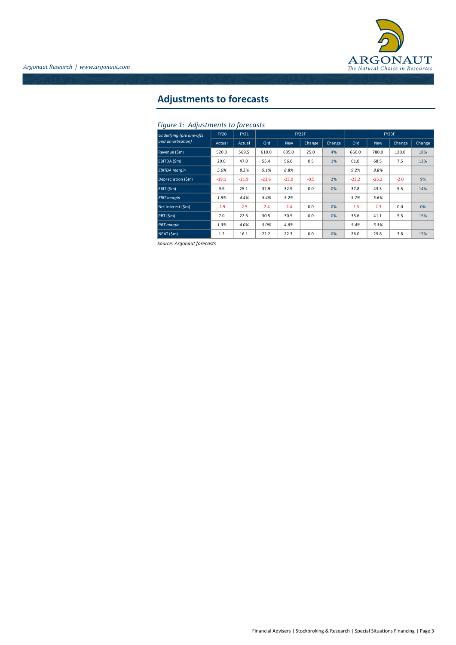

# **Adjustments to forecasts**

### *Figure 1: Adjustments to forecasts*

| Underlying (pre one-offs | <b>FY20</b> | <b>FY21</b> | FY22F   |            |        |        | FY23F   |         |        |        |
|--------------------------|-------------|-------------|---------|------------|--------|--------|---------|---------|--------|--------|
| and amortisation)        | Actual      | Actual      | Old     | <b>New</b> | Change | Change | Old     | New     | Change | Change |
| Revenue (\$m)            | 520.0       | 569.5       | 610.0   | 635.0      | 25.0   | 4%     | 660.0   | 780.0   | 120.0  | 18%    |
| EBITDA (\$m)             | 29.0        | 47.0        | 55.4    | 56.0       | 0.5    | 1%     | 61.0    | 68.5    | 7.5    | 12%    |
| <b>EBITDA</b> margin     | 5.6%        | 8.3%        | 9.1%    | 8.8%       |        |        | 9.2%    | 8.8%    |        |        |
| Depreciation (\$m)       | $-19.1$     | $-21.9$     | $-22.6$ | $-23.0$    | $-0.5$ | 2%     | $-23.2$ | $-25.2$ | $-2.0$ | 9%     |
| EBIT (\$m)               | 9.9         | 25.1        | 32.9    | 32.9       | 0.0    | 0%     | 37.8    | 43.3    | 5.5    | 14%    |
| <b>EBIT</b> margin       | 1.9%        | 4.4%        | 5.4%    | 5.2%       |        |        | 5.7%    | 5.6%    |        |        |
| Net Interest (\$m)       | $-2.9$      | $-2.5$      | $-2.4$  | $-2.4$     | 0.0    | 0%     | $-2.3$  | $-2.3$  | 0.0    | 0%     |
| PBT (\$m)                | 7.0         | 22.6        | 30.5    | 30.5       | 0.0    | 0%     | 35.6    | 41.1    | 5.5    | 15%    |
| <b>PBT</b> margin        | 1.3%        | 4.0%        | 5.0%    | 4.8%       |        |        | 5.4%    | 5.3%    |        |        |
| NPAT (\$m)               | 1.2         | 16.1        | 22.2    | 22.3       | 0.0    | 0%     | 26.0    | 29.8    | 3.8    | 15%    |

*Source: Argonaut forecasts*